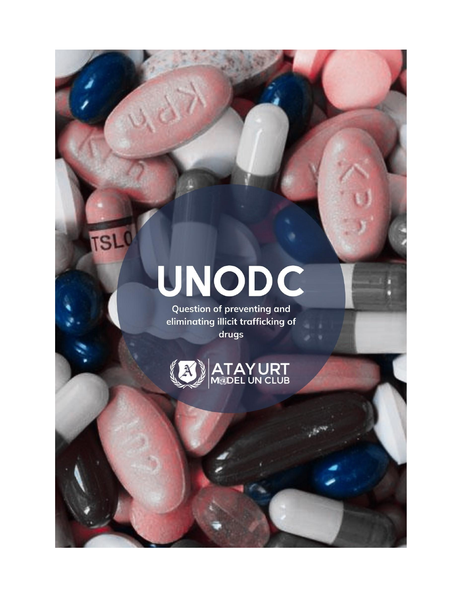# UNODC

**TSLO** 

**Question of preventing and** eliminating illicit trafficking of drugs

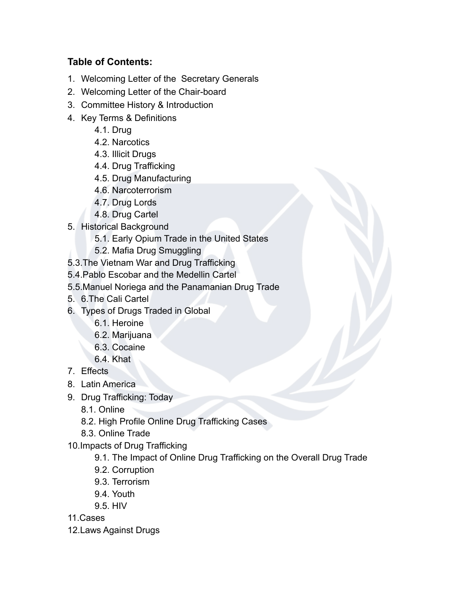# **Table of Contents:**

- 1. Welcoming Letter of the Secretary Generals
- 2. Welcoming Letter of the Chair-board
- 3. Committee History & Introduction
- 4. Key Terms & Definitions
	- 4.1. Drug
	- 4.2. Narcotics
	- 4.3. Illicit Drugs
	- 4.4. Drug Trafficking
	- 4.5. Drug Manufacturing
	- 4.6. Narcoterrorism
	- 4.7. Drug Lords
	- 4.8. Drug Cartel
- 5. Historical Background
	- 5.1. Early Opium Trade in the United States
	- 5.2. Mafia Drug Smuggling
- 5.3.The Vietnam War and Drug Trafficking
- 5.4.Pablo Escobar and the Medellin Cartel
- 5.5.Manuel Noriega and the Panamanian Drug Trade
- 5. 6.The Cali Cartel
- 6. Types of Drugs Traded in Global
	- 6.1. Heroine
	- 6.2. Marijuana
	- 6.3. Cocaine
	- 6.4. Khat
- 7. Effects
- 8. Latin America
- 9. Drug Trafficking: Today
	- 8.1. Online
	- 8.2. High Profile Online Drug Trafficking Cases
	- 8.3. Online Trade
- 10.Impacts of Drug Trafficking
	- 9.1. The Impact of Online Drug Trafficking on the Overall Drug Trade
	- 9.2. Corruption
	- 9.3. Terrorism
	- 9.4. Youth
	- 9.5. HIV

11.Cases

12.Laws Against Drugs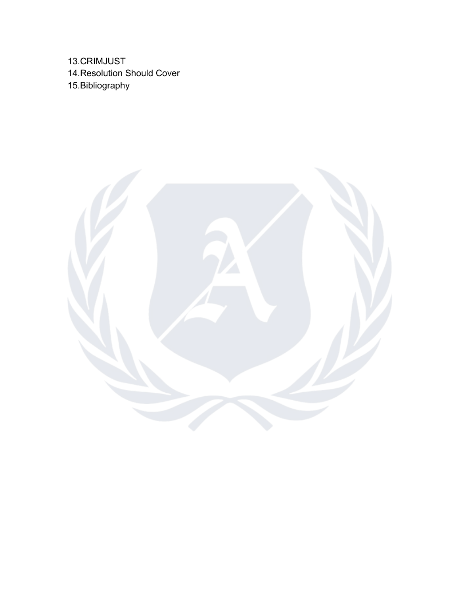13.CRIMJUST 14.Resolution Should Cover 15.Bibliography

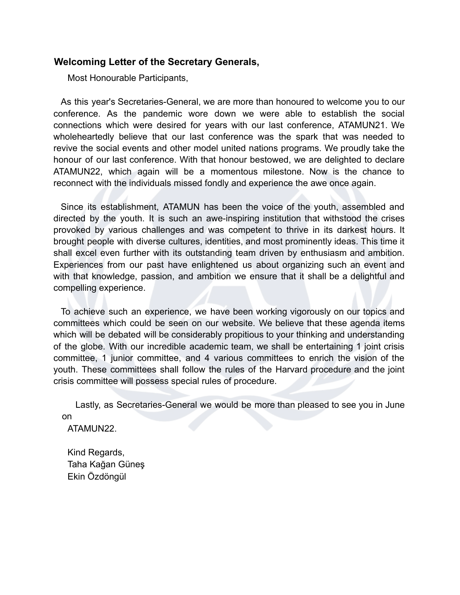## **Welcoming Letter of the Secretary Generals,**

Most Honourable Participants,

As this year's Secretaries-General, we are more than honoured to welcome you to our conference. As the pandemic wore down we were able to establish the social connections which were desired for years with our last conference, ATAMUN21. We wholeheartedly believe that our last conference was the spark that was needed to revive the social events and other model united nations programs. We proudly take the honour of our last conference. With that honour bestowed, we are delighted to declare ATAMUN22, which again will be a momentous milestone. Now is the chance to reconnect with the individuals missed fondly and experience the awe once again.

Since its establishment, ATAMUN has been the voice of the youth, assembled and directed by the youth. It is such an awe-inspiring institution that withstood the crises provoked by various challenges and was competent to thrive in its darkest hours. It brought people with diverse cultures, identities, and most prominently ideas. This time it shall excel even further with its outstanding team driven by enthusiasm and ambition. Experiences from our past have enlightened us about organizing such an event and with that knowledge, passion, and ambition we ensure that it shall be a delightful and compelling experience.

To achieve such an experience, we have been working vigorously on our topics and committees which could be seen on our website. We believe that these agenda items which will be debated will be considerably propitious to your thinking and understanding of the globe. With our incredible academic team, we shall be entertaining 1 joint crisis committee, 1 junior committee, and 4 various committees to enrich the vision of the youth. These committees shall follow the rules of the Harvard procedure and the joint crisis committee will possess special rules of procedure.

Lastly, as Secretaries-General we would be more than pleased to see you in June on

ATAMUN22.

Kind Regards, Taha Kağan Güneş Ekin Özdöngül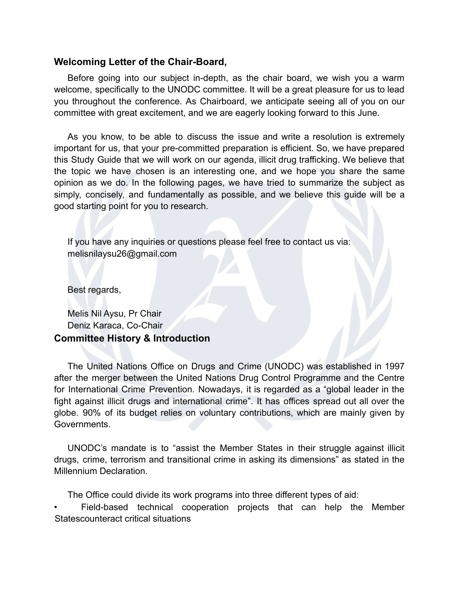## **Welcoming Letter of the Chair-Board,**

Before going into our subject in-depth, as the chair board, we wish you a warm welcome, specifically to the UNODC committee. It will be a great pleasure for us to lead you throughout the conference. As Chairboard, we anticipate seeing all of you on our committee with great excitement, and we are eagerly looking forward to this June.

As you know, to be able to discuss the issue and write a resolution is extremely important for us, that your pre-committed preparation is efficient. So, we have prepared this Study Guide that we will work on our agenda, illicit drug trafficking. We believe that the topic we have chosen is an interesting one, and we hope you share the same opinion as we do. In the following pages, we have tried to summarize the subject as simply, concisely, and fundamentally as possible, and we believe this guide will be a good starting point for you to research.

If you have any inquiries or questions please feel free to contact us via: melisnilaysu26@gmail.com

Best regards,

Melis Nil Aysu, Pr Chair Deniz Karaca, Co-Chair **Committee History & Introduction**

The United Nations Office on Drugs and Crime (UNODC) was established in 1997 after the merger between the United Nations Drug Control Programme and the Centre for International Crime Prevention. Nowadays, it is regarded as a "global leader in the fight against illicit drugs and international crime". It has offices spread out all over the globe. 90% of its budget relies on voluntary contributions, which are mainly given by Governments.

UNODC's mandate is to "assist the Member States in their struggle against illicit drugs, crime, terrorism and transitional crime in asking its dimensions" as stated in the Millennium Declaration.

The Office could divide its work programs into three different types of aid:

Field-based technical cooperation projects that can help the Member Statescounteract critical situations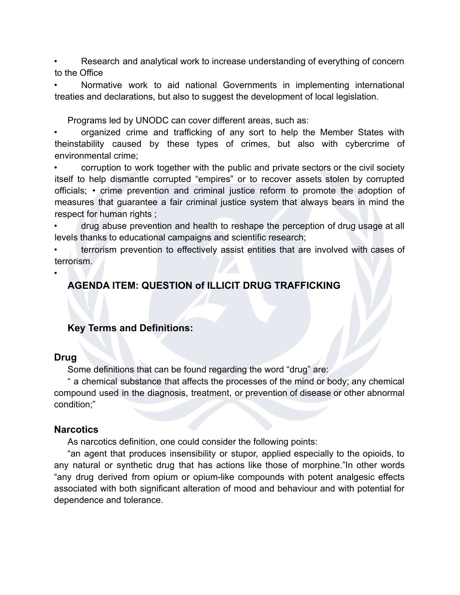Research and analytical work to increase understanding of everything of concern to the Office

• Normative work to aid national Governments in implementing international treaties and declarations, but also to suggest the development of local legislation.

Programs led by UNODC can cover different areas, such as:

• organized crime and trafficking of any sort to help the Member States with theinstability caused by these types of crimes, but also with cybercrime of environmental crime;

• corruption to work together with the public and private sectors or the civil society itself to help dismantle corrupted "empires" or to recover assets stolen by corrupted officials; • crime prevention and criminal justice reform to promote the adoption of measures that guarantee a fair criminal justice system that always bears in mind the respect for human rights ;

• drug abuse prevention and health to reshape the perception of drug usage at all levels thanks to educational campaigns and scientific research;

• terrorism prevention to effectively assist entities that are involved with cases of terrorism.

•

# **AGENDA ITEM: QUESTION of ILLICIT DRUG TRAFFICKING**

## **Key Terms and Definitions:**

## **Drug**

Some definitions that can be found regarding the word "drug" are:

" a chemical substance that affects the processes of the mind or body; any chemical compound used in the diagnosis, treatment, or prevention of disease or other abnormal condition;"

## **Narcotics**

As narcotics definition, one could consider the following points:

"an agent that produces insensibility or stupor, applied especially to the opioids, to any natural or synthetic drug that has actions like those of morphine."In other words "any drug derived from opium or opium-like compounds with potent analgesic effects associated with both significant alteration of mood and behaviour and with potential for dependence and tolerance.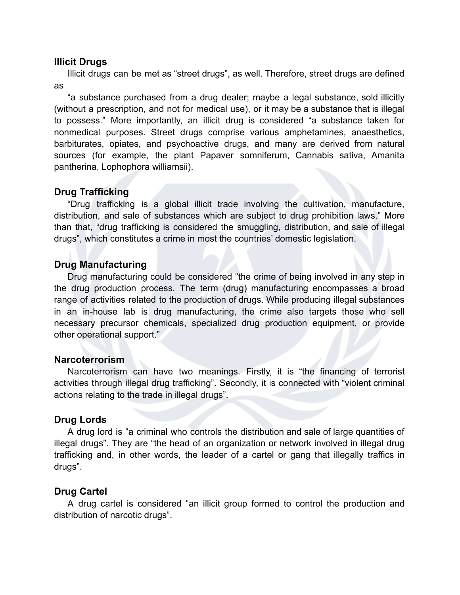## **Illicit Drugs**

Illicit drugs can be met as "street drugs", as well. Therefore, street drugs are defined as

"a substance purchased from a drug dealer; maybe a legal substance, sold illicitly (without a prescription, and not for medical use), or it may be a substance that is illegal to possess." More importantly, an illicit drug is considered "a substance taken for nonmedical purposes. Street drugs comprise various amphetamines, anaesthetics, barbiturates, opiates, and psychoactive drugs, and many are derived from natural sources (for example, the plant Papaver somniferum, Cannabis sativa, Amanita pantherina, Lophophora williamsii).

## **Drug Trafficking**

"Drug trafficking is a global illicit trade involving the cultivation, manufacture, distribution, and sale of substances which are subject to drug prohibition laws." More than that, "drug trafficking is considered the smuggling, distribution, and sale of illegal drugs", which constitutes a crime in most the countries' domestic legislation.

## **Drug Manufacturing**

Drug manufacturing could be considered "the crime of being involved in any step in the drug production process. The term (drug) manufacturing encompasses a broad range of activities related to the production of drugs. While producing illegal substances in an in-house lab is drug manufacturing, the crime also targets those who sell necessary precursor chemicals, specialized drug production equipment, or provide other operational support."

#### **Narcoterrorism**

Narcoterrorism can have two meanings. Firstly, it is "the financing of terrorist activities through illegal drug trafficking". Secondly, it is connected with "violent criminal actions relating to the trade in illegal drugs".

#### **Drug Lords**

A drug lord is "a criminal who controls the distribution and sale of large quantities of illegal drugs". They are "the head of an organization or network involved in illegal drug trafficking and, in other words, the leader of a cartel or gang that illegally traffics in drugs".

#### **Drug Cartel**

A drug cartel is considered "an illicit group formed to control the production and distribution of narcotic drugs".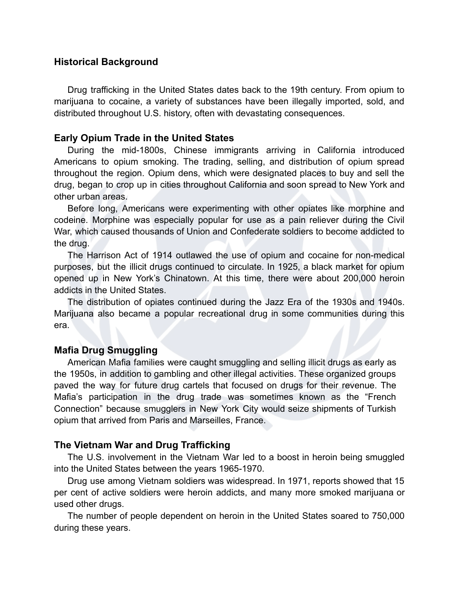## **Historical Background**

Drug trafficking in the United States dates back to the 19th century. From opium to marijuana to cocaine, a variety of substances have been illegally imported, sold, and distributed throughout U.S. history, often with devastating consequences.

## **Early Opium Trade in the United States**

During the mid-1800s, Chinese immigrants arriving in California introduced Americans to opium smoking. The trading, selling, and distribution of opium spread throughout the region. Opium dens, which were designated places to buy and sell the drug, began to crop up in cities throughout California and soon spread to New York and other urban areas.

Before long, Americans were experimenting with other opiates like morphine and codeine. Morphine was especially popular for use as a pain reliever during the Civil War, which caused thousands of Union and Confederate soldiers to become addicted to the drug.

The Harrison Act of 1914 outlawed the use of opium and cocaine for non-medical purposes, but the illicit drugs continued to circulate. In 1925, a black market for opium opened up in New York's Chinatown. At this time, there were about 200,000 heroin addicts in the United States.

The distribution of opiates continued during the Jazz Era of the 1930s and 1940s. Marijuana also became a popular recreational drug in some communities during this era.

## **Mafia Drug Smuggling**

American Mafia families were caught smuggling and selling illicit drugs as early as the 1950s, in addition to gambling and other illegal activities. These organized groups paved the way for future drug cartels that focused on drugs for their revenue. The Mafia's participation in the drug trade was sometimes known as the "French Connection" because smugglers in New York City would seize shipments of Turkish opium that arrived from Paris and Marseilles, France.

## **The Vietnam War and Drug Trafficking**

The U.S. involvement in the Vietnam War led to a boost in heroin being smuggled into the United States between the years 1965-1970.

Drug use among Vietnam soldiers was widespread. In 1971, reports showed that 15 per cent of active soldiers were heroin addicts, and many more smoked marijuana or used other drugs.

The number of people dependent on heroin in the United States soared to 750,000 during these years.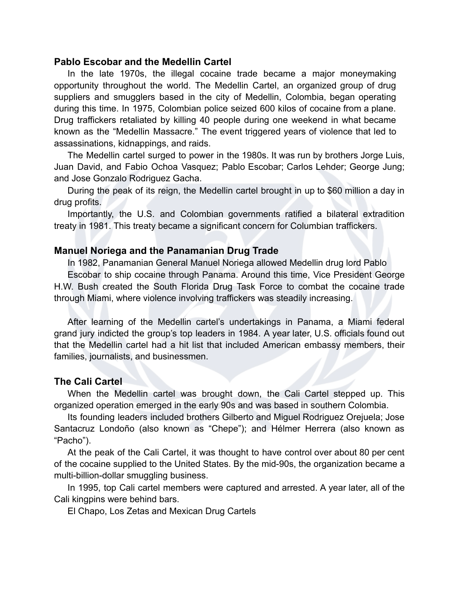## **Pablo Escobar and the Medellin Cartel**

In the late 1970s, the illegal cocaine trade became a major moneymaking opportunity throughout the world. The Medellin Cartel, an organized group of drug suppliers and smugglers based in the city of Medellin, Colombia, began operating during this time. In 1975, Colombian police seized 600 kilos of cocaine from a plane. Drug traffickers retaliated by killing 40 people during one weekend in what became known as the "Medellin Massacre." The event triggered years of violence that led to assassinations, kidnappings, and raids.

The Medellin cartel surged to power in the 1980s. It was run by brothers Jorge Luis, Juan David, and Fabio Ochoa Vasquez; Pablo Escobar; Carlos Lehder; George Jung; and Jose Gonzalo Rodriguez Gacha.

During the peak of its reign, the Medellin cartel brought in up to \$60 million a day in drug profits.

Importantly, the U.S. and Colombian governments ratified a bilateral extradition treaty in 1981. This treaty became a significant concern for Columbian traffickers.

## **Manuel Noriega and the Panamanian Drug Trade**

In 1982, Panamanian General Manuel Noriega allowed Medellin drug lord Pablo

Escobar to ship cocaine through Panama. Around this time, Vice President George H.W. Bush created the South Florida Drug Task Force to combat the cocaine trade through Miami, where violence involving traffickers was steadily increasing.

After learning of the Medellin cartel's undertakings in Panama, a Miami federal grand jury indicted the group's top leaders in 1984. A year later, U.S. officials found out that the Medellin cartel had a hit list that included American embassy members, their families, journalists, and businessmen.

#### **The Cali Cartel**

When the Medellin cartel was brought down, the Cali Cartel stepped up. This organized operation emerged in the early 90s and was based in southern Colombia.

Its founding leaders included brothers Gilberto and Miguel Rodriguez Orejuela; Jose Santacruz Londoño (also known as "Chepe"); and Hélmer Herrera (also known as "Pacho").

At the peak of the Cali Cartel, it was thought to have control over about 80 per cent of the cocaine supplied to the United States. By the mid-90s, the organization became a multi-billion-dollar smuggling business.

In 1995, top Cali cartel members were captured and arrested. A year later, all of the Cali kingpins were behind bars.

El Chapo, Los Zetas and Mexican Drug Cartels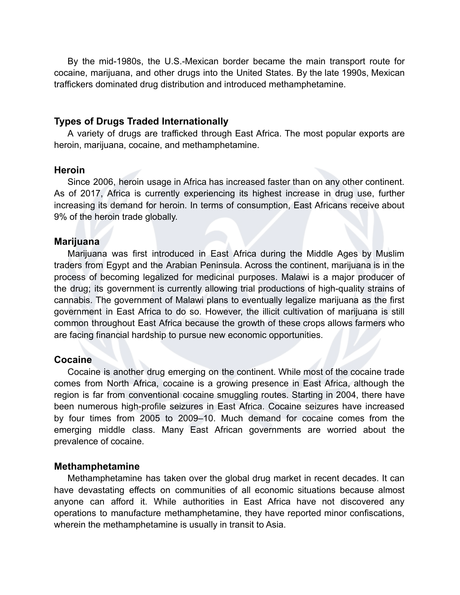By the mid-1980s, the U.S.-Mexican border became the main transport route for cocaine, marijuana, and other drugs into the United States. By the late 1990s, Mexican traffickers dominated drug distribution and introduced methamphetamine.

## **Types of Drugs Traded Internationally**

A variety of drugs are trafficked through East Africa. The most popular exports are heroin, marijuana, cocaine, and methamphetamine.

## **Heroin**

Since 2006, heroin usage in Africa has increased faster than on any other continent. As of 2017, Africa is currently experiencing its highest increase in drug use, further increasing its demand for heroin. In terms of consumption, East Africans receive about 9% of the heroin trade globally.

#### **Marijuana**

Marijuana was first introduced in East Africa during the Middle Ages by Muslim traders from Egypt and the Arabian Peninsula. Across the continent, marijuana is in the process of becoming legalized for medicinal purposes. Malawi is a major producer of the drug; its government is currently allowing trial productions of high-quality strains of cannabis. The government of Malawi plans to eventually legalize marijuana as the first government in East Africa to do so. However, the illicit cultivation of marijuana is still common throughout East Africa because the growth of these crops allows farmers who are facing financial hardship to pursue new economic opportunities.

#### **Cocaine**

Cocaine is another drug emerging on the continent. While most of the cocaine trade comes from North Africa, cocaine is a growing presence in East Africa, although the region is far from conventional cocaine smuggling routes. Starting in 2004, there have been numerous high-profile seizures in East Africa. Cocaine seizures have increased by four times from 2005 to 2009–10. Much demand for cocaine comes from the emerging middle class. Many East African governments are worried about the prevalence of cocaine.

#### **Methamphetamine**

Methamphetamine has taken over the global drug market in recent decades. It can have devastating effects on communities of all economic situations because almost anyone can afford it. While authorities in East Africa have not discovered any operations to manufacture methamphetamine, they have reported minor confiscations, wherein the methamphetamine is usually in transit to Asia.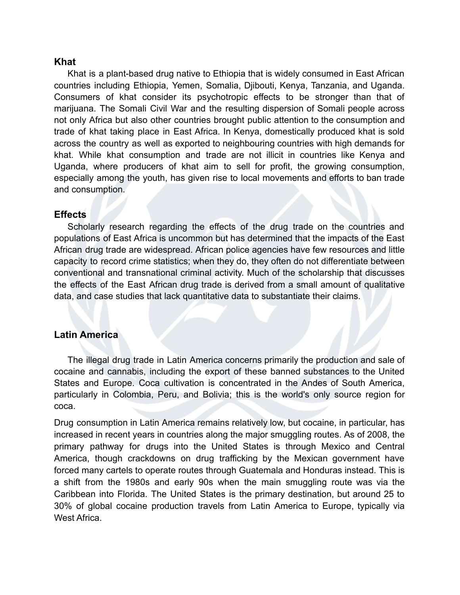## **Khat**

Khat is a plant-based drug native to Ethiopia that is widely consumed in East African countries including Ethiopia, Yemen, Somalia, Djibouti, Kenya, Tanzania, and Uganda. Consumers of khat consider its psychotropic effects to be stronger than that of marijuana. The Somali Civil War and the resulting dispersion of Somali people across not only Africa but also other countries brought public attention to the consumption and trade of khat taking place in East Africa. In Kenya, domestically produced khat is sold across the country as well as exported to neighbouring countries with high demands for khat. While khat consumption and trade are not illicit in countries like Kenya and Uganda, where producers of khat aim to sell for profit, the growing consumption, especially among the youth, has given rise to local movements and efforts to ban trade and consumption.

## **Effects**

Scholarly research regarding the effects of the drug trade on the countries and populations of East Africa is uncommon but has determined that the impacts of the East African drug trade are widespread. African police agencies have few resources and little capacity to record crime statistics; when they do, they often do not differentiate between conventional and transnational criminal activity. Much of the scholarship that discusses the effects of the East African drug trade is derived from a small amount of qualitative data, and case studies that lack quantitative data to substantiate their claims.

## **Latin America**

The illegal drug trade in Latin America concerns primarily the production and sale of cocaine and cannabis, including the export of these banned substances to the United States and Europe. Coca cultivation is concentrated in the Andes of South America, particularly in Colombia, Peru, and Bolivia; this is the world's only source region for coca.

Drug consumption in Latin America remains relatively low, but cocaine, in particular, has increased in recent years in countries along the major smuggling routes. As of 2008, the primary pathway for drugs into the United States is through Mexico and Central America, though crackdowns on drug trafficking by the Mexican government have forced many cartels to operate routes through Guatemala and Honduras instead. This is a shift from the 1980s and early 90s when the main smuggling route was via the Caribbean into Florida. The United States is the primary destination, but around 25 to 30% of global cocaine production travels from Latin America to Europe, typically via West Africa.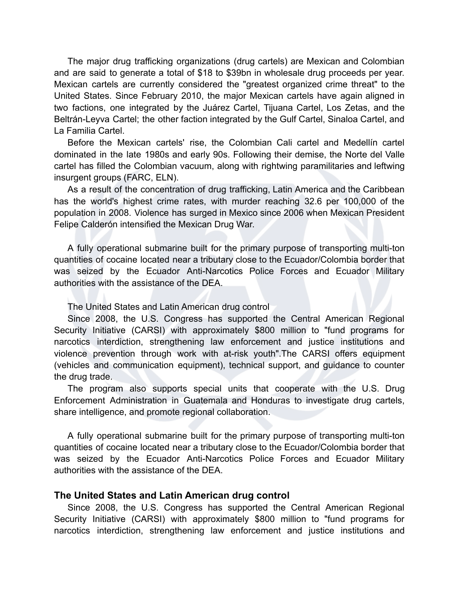The major drug trafficking organizations (drug cartels) are Mexican and Colombian and are said to generate a total of \$18 to \$39bn in wholesale drug proceeds per year. Mexican cartels are currently considered the "greatest organized crime threat" to the United States. Since February 2010, the major Mexican cartels have again aligned in two factions, one integrated by the Juárez Cartel, Tijuana Cartel, Los Zetas, and the Beltrán-Leyva Cartel; the other faction integrated by the Gulf Cartel, Sinaloa Cartel, and La Familia Cartel.

Before the Mexican cartels' rise, the Colombian Cali cartel and Medellín cartel dominated in the late 1980s and early 90s. Following their demise, the Norte del Valle cartel has filled the Colombian vacuum, along with rightwing paramilitaries and leftwing insurgent groups (FARC, ELN).

As a result of the concentration of drug trafficking, Latin America and the Caribbean has the world's highest crime rates, with murder reaching 32.6 per 100,000 of the population in 2008. Violence has surged in Mexico since 2006 when Mexican President Felipe Calderón intensified the Mexican Drug War.

A fully operational submarine built for the primary purpose of transporting multi-ton quantities of cocaine located near a tributary close to the Ecuador/Colombia border that was seized by the Ecuador Anti-Narcotics Police Forces and Ecuador Military authorities with the assistance of the DEA.

The United States and Latin American drug control

Since 2008, the U.S. Congress has supported the Central American Regional Security Initiative (CARSI) with approximately \$800 million to "fund programs for narcotics interdiction, strengthening law enforcement and justice institutions and violence prevention through work with at-risk youth".The CARSI offers equipment (vehicles and communication equipment), technical support, and guidance to counter the drug trade.

The program also supports special units that cooperate with the U.S. Drug Enforcement Administration in Guatemala and Honduras to investigate drug cartels, share intelligence, and promote regional collaboration.

A fully operational submarine built for the primary purpose of transporting multi-ton quantities of cocaine located near a tributary close to the Ecuador/Colombia border that was seized by the Ecuador Anti-Narcotics Police Forces and Ecuador Military authorities with the assistance of the DEA.

#### **The United States and Latin American drug control**

Since 2008, the U.S. Congress has supported the Central American Regional Security Initiative (CARSI) with approximately \$800 million to "fund programs for narcotics interdiction, strengthening law enforcement and justice institutions and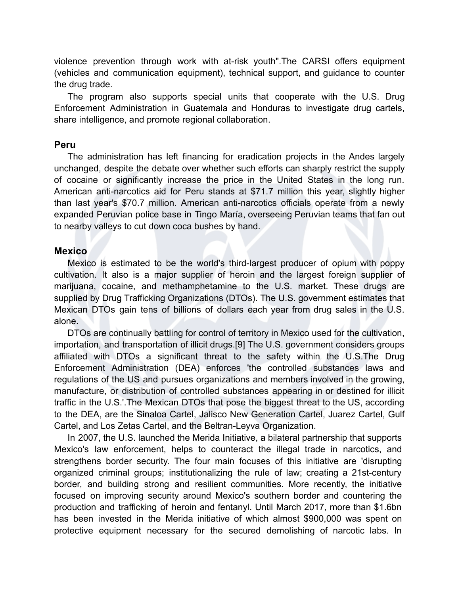violence prevention through work with at-risk youth".The CARSI offers equipment (vehicles and communication equipment), technical support, and guidance to counter the drug trade.

The program also supports special units that cooperate with the U.S. Drug Enforcement Administration in Guatemala and Honduras to investigate drug cartels, share intelligence, and promote regional collaboration.

#### **Peru**

The administration has left financing for eradication projects in the Andes largely unchanged, despite the debate over whether such efforts can sharply restrict the supply of cocaine or significantly increase the price in the United States in the long run. American anti-narcotics aid for Peru stands at \$71.7 million this year, slightly higher than last year's \$70.7 million. American anti-narcotics officials operate from a newly expanded Peruvian police base in Tingo María, overseeing Peruvian teams that fan out to nearby valleys to cut down coca bushes by hand.

#### **Mexico**

Mexico is estimated to be the world's third-largest producer of opium with poppy cultivation. It also is a major supplier of heroin and the largest foreign supplier of marijuana, cocaine, and methamphetamine to the U.S. market. These drugs are supplied by Drug Trafficking Organizations (DTOs). The U.S. government estimates that Mexican DTOs gain tens of billions of dollars each year from drug sales in the U.S. alone.

DTOs are continually battling for control of territory in Mexico used for the cultivation, importation, and transportation of illicit drugs.[9] The U.S. government considers groups affiliated with DTOs a significant threat to the safety within the U.S.The Drug Enforcement Administration (DEA) enforces 'the controlled substances laws and regulations of the US and pursues organizations and members involved in the growing, manufacture, or distribution of controlled substances appearing in or destined for illicit traffic in the U.S.'.The Mexican DTOs that pose the biggest threat to the US, according to the DEA, are the Sinaloa Cartel, Jalisco New Generation Cartel, Juarez Cartel, Gulf Cartel, and Los Zetas Cartel, and the Beltran-Leyva Organization.

In 2007, the U.S. launched the Merida Initiative, a bilateral partnership that supports Mexico's law enforcement, helps to counteract the illegal trade in narcotics, and strengthens border security. The four main focuses of this initiative are 'disrupting organized criminal groups; institutionalizing the rule of law; creating a 21st-century border, and building strong and resilient communities. More recently, the initiative focused on improving security around Mexico's southern border and countering the production and trafficking of heroin and fentanyl. Until March 2017, more than \$1.6bn has been invested in the Merida initiative of which almost \$900,000 was spent on protective equipment necessary for the secured demolishing of narcotic labs. In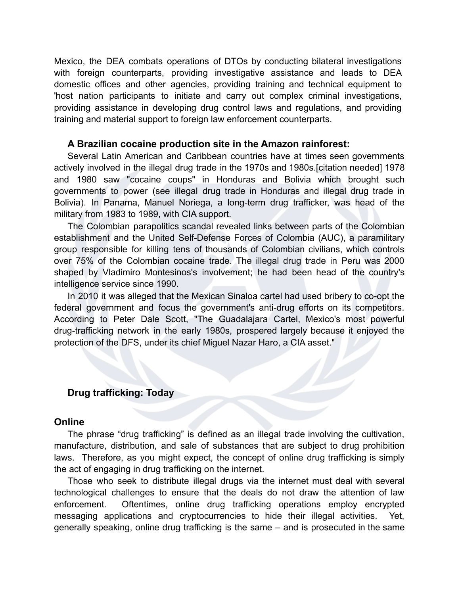Mexico, the DEA combats operations of DTOs by conducting bilateral investigations with foreign counterparts, providing investigative assistance and leads to DEA domestic offices and other agencies, providing training and technical equipment to 'host nation participants to initiate and carry out complex criminal investigations, providing assistance in developing drug control laws and regulations, and providing training and material support to foreign law enforcement counterparts.

#### **A Brazilian cocaine production site in the Amazon rainforest:**

Several Latin American and Caribbean countries have at times seen governments actively involved in the illegal drug trade in the 1970s and 1980s.[citation needed] 1978 and 1980 saw "cocaine coups" in Honduras and Bolivia which brought such governments to power (see illegal drug trade in Honduras and illegal drug trade in Bolivia). In Panama, Manuel Noriega, a long-term drug trafficker, was head of the military from 1983 to 1989, with CIA support.

The Colombian parapolitics scandal revealed links between parts of the Colombian establishment and the United Self-Defense Forces of Colombia (AUC), a paramilitary group responsible for killing tens of thousands of Colombian civilians, which controls over 75% of the Colombian cocaine trade. The illegal drug trade in Peru was 2000 shaped by Vladimiro Montesinos's involvement; he had been head of the country's intelligence service since 1990.

In 2010 it was alleged that the Mexican Sinaloa cartel had used bribery to co-opt the federal government and focus the government's anti-drug efforts on its competitors. According to Peter Dale Scott, "The Guadalajara Cartel, Mexico's most powerful drug-trafficking network in the early 1980s, prospered largely because it enjoyed the protection of the DFS, under its chief Miguel Nazar Haro, a CIA asset."

## **Drug trafficking: Today**

## **Online**

The phrase "drug trafficking" is defined as an illegal trade involving the cultivation, manufacture, distribution, and sale of substances that are subject to drug prohibition laws. Therefore, as you might expect, the concept of online drug trafficking is simply the act of engaging in drug trafficking on the internet.

Those who seek to distribute illegal drugs via the internet must deal with several technological challenges to ensure that the deals do not draw the attention of law enforcement. Oftentimes, online drug trafficking operations employ encrypted messaging applications and cryptocurrencies to hide their illegal activities. Yet, generally speaking, online drug trafficking is the same – and is prosecuted in the same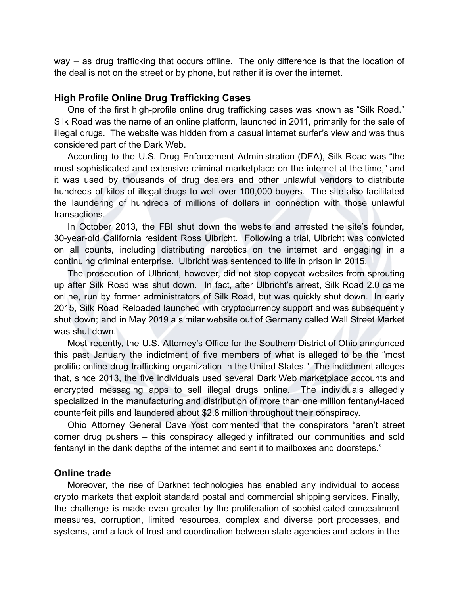way – as drug trafficking that occurs offline. The only difference is that the location of the deal is not on the street or by phone, but rather it is over the internet.

## **High Profile Online Drug Trafficking Cases**

One of the first high-profile online drug trafficking cases was known as "Silk Road." Silk Road was the name of an online platform, launched in 2011, primarily for the sale of illegal drugs. The website was hidden from a casual internet surfer's view and was thus considered part of the Dark Web.

According to the U.S. Drug Enforcement Administration (DEA), Silk Road was "the most sophisticated and extensive criminal marketplace on the internet at the time," and it was used by thousands of drug dealers and other unlawful vendors to distribute hundreds of kilos of illegal drugs to well over 100,000 buyers. The site also facilitated the laundering of hundreds of millions of dollars in connection with those unlawful transactions.

In October 2013, the FBI shut down the website and arrested the site's founder, 30-year-old California resident Ross Ulbricht. Following a trial, Ulbricht was convicted on all counts, including distributing narcotics on the internet and engaging in a continuing criminal enterprise. Ulbricht was sentenced to life in prison in 2015.

The prosecution of Ulbricht, however, did not stop copycat websites from sprouting up after Silk Road was shut down. In fact, after Ulbricht's arrest, Silk Road 2.0 came online, run by former administrators of Silk Road, but was quickly shut down. In early 2015, Silk Road Reloaded launched with cryptocurrency support and was subsequently shut down; and in May 2019 a similar website out of Germany called Wall Street Market was shut down.

Most recently, the U.S. Attorney's Office for the Southern District of Ohio announced this past January the indictment of five members of what is alleged to be the "most prolific online drug trafficking organization in the United States." The indictment alleges that, since 2013, the five individuals used several Dark Web marketplace accounts and encrypted messaging apps to sell illegal drugs online. The individuals allegedly specialized in the manufacturing and distribution of more than one million fentanyl-laced counterfeit pills and laundered about \$2.8 million throughout their conspiracy.

Ohio Attorney General Dave Yost commented that the conspirators "aren't street corner drug pushers – this conspiracy allegedly infiltrated our communities and sold fentanyl in the dank depths of the internet and sent it to mailboxes and doorsteps."

#### **Online trade**

Moreover, the rise of Darknet technologies has enabled any individual to access crypto markets that exploit standard postal and commercial shipping services. Finally, the challenge is made even greater by the proliferation of sophisticated concealment measures, corruption, limited resources, complex and diverse port processes, and systems, and a lack of trust and coordination between state agencies and actors in the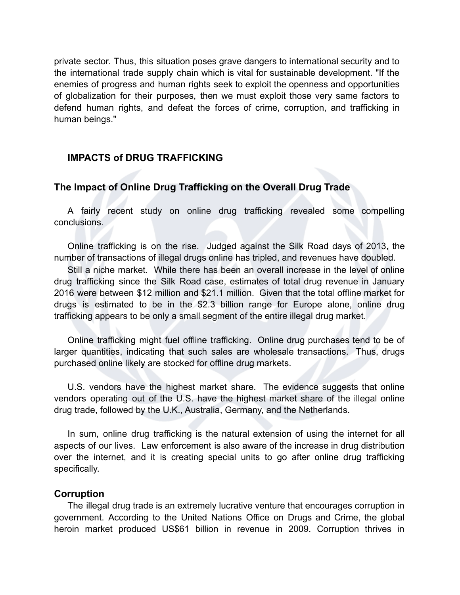private sector. Thus, this situation poses grave dangers to international security and to the international trade supply chain which is vital for sustainable development. "If the enemies of progress and human rights seek to exploit the openness and opportunities of globalization for their purposes, then we must exploit those very same factors to defend human rights, and defeat the forces of crime, corruption, and trafficking in human beings."

## **IMPACTS of DRUG TRAFFICKING**

## **The Impact of Online Drug Trafficking on the Overall Drug Trade**

A fairly recent study on online drug trafficking revealed some compelling conclusions.

Online trafficking is on the rise. Judged against the Silk Road days of 2013, the number of transactions of illegal drugs online has tripled, and revenues have doubled.

Still a niche market. While there has been an overall increase in the level of online drug trafficking since the Silk Road case, estimates of total drug revenue in January 2016 were between \$12 million and \$21.1 million. Given that the total offline market for drugs is estimated to be in the \$2.3 billion range for Europe alone, online drug trafficking appears to be only a small segment of the entire illegal drug market.

Online trafficking might fuel offline trafficking. Online drug purchases tend to be of larger quantities, indicating that such sales are wholesale transactions. Thus, drugs purchased online likely are stocked for offline drug markets.

U.S. vendors have the highest market share. The evidence suggests that online vendors operating out of the U.S. have the highest market share of the illegal online drug trade, followed by the U.K., Australia, Germany, and the Netherlands.

In sum, online drug trafficking is the natural extension of using the internet for all aspects of our lives. Law enforcement is also aware of the increase in drug distribution over the internet, and it is creating special units to go after online drug trafficking specifically.

#### **Corruption**

The illegal drug trade is an extremely lucrative venture that encourages corruption in government. According to the United Nations Office on Drugs and Crime, the global heroin market produced US\$61 billion in revenue in 2009. Corruption thrives in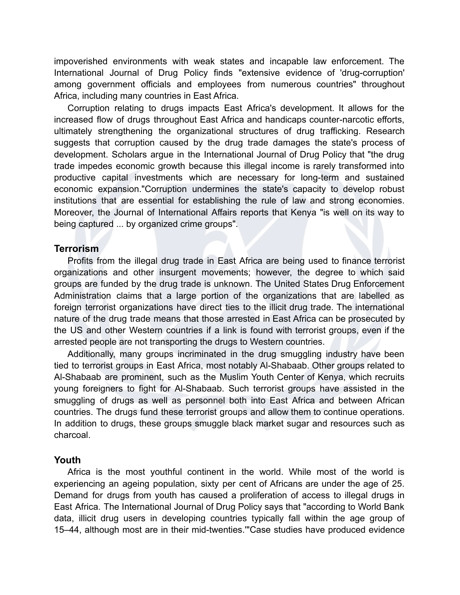impoverished environments with weak states and incapable law enforcement. The International Journal of Drug Policy finds "extensive evidence of 'drug-corruption' among government officials and employees from numerous countries" throughout Africa, including many countries in East Africa.

Corruption relating to drugs impacts East Africa's development. It allows for the increased flow of drugs throughout East Africa and handicaps counter-narcotic efforts, ultimately strengthening the organizational structures of drug trafficking. Research suggests that corruption caused by the drug trade damages the state's process of development. Scholars argue in the International Journal of Drug Policy that "the drug trade impedes economic growth because this illegal income is rarely transformed into productive capital investments which are necessary for long-term and sustained economic expansion."Corruption undermines the state's capacity to develop robust institutions that are essential for establishing the rule of law and strong economies. Moreover, the Journal of International Affairs reports that Kenya "is well on its way to being captured ... by organized crime groups".

#### **Terrorism**

Profits from the illegal drug trade in East Africa are being used to finance terrorist organizations and other insurgent movements; however, the degree to which said groups are funded by the drug trade is unknown. The United States Drug Enforcement Administration claims that a large portion of the organizations that are labelled as foreign terrorist organizations have direct ties to the illicit drug trade. The international nature of the drug trade means that those arrested in East Africa can be prosecuted by the US and other Western countries if a link is found with terrorist groups, even if the arrested people are not transporting the drugs to Western countries.

Additionally, many groups incriminated in the drug smuggling industry have been tied to terrorist groups in East Africa, most notably Al-Shabaab. Other groups related to Al-Shabaab are prominent, such as the Muslim Youth Center of Kenya, which recruits young foreigners to fight for Al-Shabaab. Such terrorist groups have assisted in the smuggling of drugs as well as personnel both into East Africa and between African countries. The drugs fund these terrorist groups and allow them to continue operations. In addition to drugs, these groups smuggle black market sugar and resources such as charcoal.

#### **Youth**

Africa is the most youthful continent in the world. While most of the world is experiencing an ageing population, sixty per cent of Africans are under the age of 25. Demand for drugs from youth has caused a proliferation of access to illegal drugs in East Africa. The International Journal of Drug Policy says that "according to World Bank data, illicit drug users in developing countries typically fall within the age group of 15–44, although most are in their mid-twenties.'"Case studies have produced evidence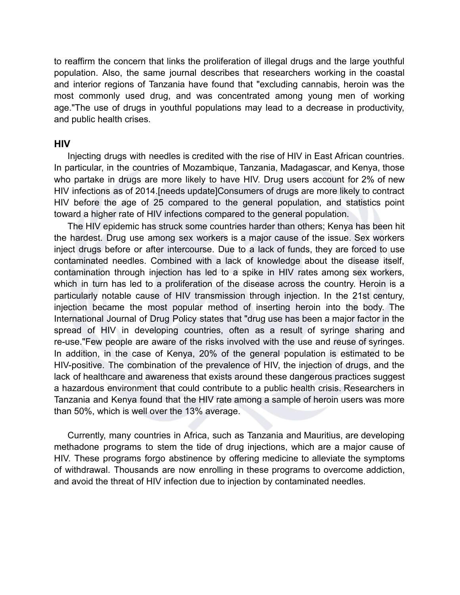to reaffirm the concern that links the proliferation of illegal drugs and the large youthful population. Also, the same journal describes that researchers working in the coastal and interior regions of Tanzania have found that "excluding cannabis, heroin was the most commonly used drug, and was concentrated among young men of working age."The use of drugs in youthful populations may lead to a decrease in productivity, and public health crises.

#### **HIV**

Injecting drugs with needles is credited with the rise of HIV in East African countries. In particular, in the countries of Mozambique, Tanzania, Madagascar, and Kenya, those who partake in drugs are more likely to have HIV. Drug users account for 2% of new HIV infections as of 2014.[needs update]Consumers of drugs are more likely to contract HIV before the age of 25 compared to the general population, and statistics point toward a higher rate of HIV infections compared to the general population.

The HIV epidemic has struck some countries harder than others; Kenya has been hit the hardest. Drug use among sex workers is a major cause of the issue. Sex workers inject drugs before or after intercourse. Due to a lack of funds, they are forced to use contaminated needles. Combined with a lack of knowledge about the disease itself, contamination through injection has led to a spike in HIV rates among sex workers, which in turn has led to a proliferation of the disease across the country. Heroin is a particularly notable cause of HIV transmission through injection. In the 21st century, injection became the most popular method of inserting heroin into the body. The International Journal of Drug Policy states that "drug use has been a major factor in the spread of HIV in developing countries, often as a result of syringe sharing and re-use."Few people are aware of the risks involved with the use and reuse of syringes. In addition, in the case of Kenya, 20% of the general population is estimated to be HIV-positive. The combination of the prevalence of HIV, the injection of drugs, and the lack of healthcare and awareness that exists around these dangerous practices suggest a hazardous environment that could contribute to a public health crisis. Researchers in Tanzania and Kenya found that the HIV rate among a sample of heroin users was more than 50%, which is well over the 13% average.

Currently, many countries in Africa, such as Tanzania and Mauritius, are developing methadone programs to stem the tide of drug injections, which are a major cause of HIV. These programs forgo abstinence by offering medicine to alleviate the symptoms of withdrawal. Thousands are now enrolling in these programs to overcome addiction, and avoid the threat of HIV infection due to injection by contaminated needles.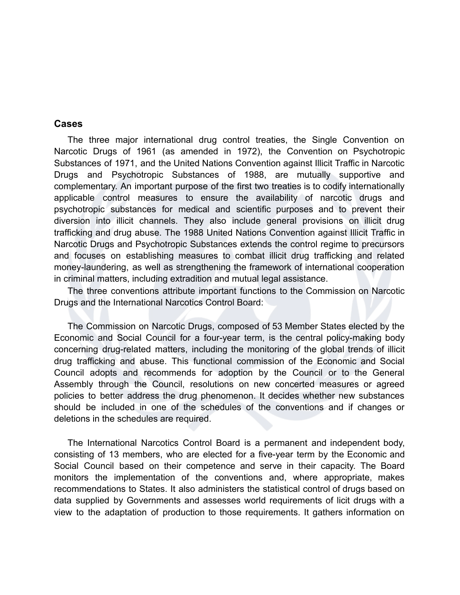## **Cases**

The three major international drug control treaties, the Single Convention on Narcotic Drugs of 1961 (as amended in 1972), the Convention on Psychotropic Substances of 1971, and the United Nations Convention against Illicit Traffic in Narcotic Drugs and Psychotropic Substances of 1988, are mutually supportive and complementary. An important purpose of the first two treaties is to codify internationally applicable control measures to ensure the availability of narcotic drugs and psychotropic substances for medical and scientific purposes and to prevent their diversion into illicit channels. They also include general provisions on illicit drug trafficking and drug abuse. The 1988 United Nations Convention against Illicit Traffic in Narcotic Drugs and Psychotropic Substances extends the control regime to precursors and focuses on establishing measures to combat illicit drug trafficking and related money-laundering, as well as strengthening the framework of international cooperation in criminal matters, including extradition and mutual legal assistance.

The three conventions attribute important functions to the Commission on Narcotic Drugs and the International Narcotics Control Board:

The Commission on Narcotic Drugs, composed of 53 Member States elected by the Economic and Social Council for a four-year term, is the central policy-making body concerning drug-related matters, including the monitoring of the global trends of illicit drug trafficking and abuse. This functional commission of the Economic and Social Council adopts and recommends for adoption by the Council or to the General Assembly through the Council, resolutions on new concerted measures or agreed policies to better address the drug phenomenon. It decides whether new substances should be included in one of the schedules of the conventions and if changes or deletions in the schedules are required.

The International Narcotics Control Board is a permanent and independent body, consisting of 13 members, who are elected for a five-year term by the Economic and Social Council based on their competence and serve in their capacity. The Board monitors the implementation of the conventions and, where appropriate, makes recommendations to States. It also administers the statistical control of drugs based on data supplied by Governments and assesses world requirements of licit drugs with a view to the adaptation of production to those requirements. It gathers information on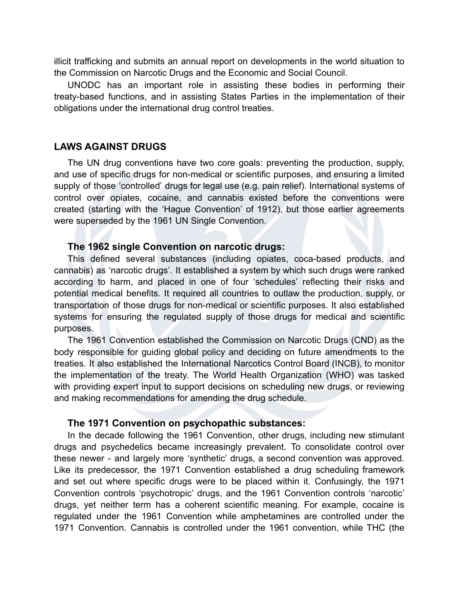illicit trafficking and submits an annual report on developments in the world situation to the Commission on Narcotic Drugs and the Economic and Social Council.

UNODC has an important role in assisting these bodies in performing their treaty-based functions, and in assisting States Parties in the implementation of their obligations under the international drug control treaties.

## **LAWS AGAINST DRUGS**

The UN drug conventions have two core goals: preventing the production, supply, and use of specific drugs for non-medical or scientific purposes, and ensuring a limited supply of those 'controlled' drugs for legal use (e.g. pain relief). International systems of control over opiates, cocaine, and cannabis existed before the conventions were created (starting with the 'Hague Convention' of 1912), but those earlier agreements were superseded by the 1961 UN Single Convention.

#### **The 1962 single Convention on narcotic drugs:**

This defined several substances (including opiates, coca-based products, and cannabis) as 'narcotic drugs'. It established a system by which such drugs were ranked according to harm, and placed in one of four 'schedules' reflecting their risks and potential medical benefits. It required all countries to outlaw the production, supply, or transportation of those drugs for non-medical or scientific purposes. It also established systems for ensuring the regulated supply of those drugs for medical and scientific purposes.

The 1961 Convention established the Commission on Narcotic Drugs (CND) as the body responsible for guiding global policy and deciding on future amendments to the treaties. It also established the International Narcotics Control Board (INCB), to monitor the implementation of the treaty. The World Health Organization (WHO) was tasked with providing expert input to support decisions on scheduling new drugs, or reviewing and making recommendations for amending the drug schedule.

#### **The 1971 Convention on psychopathic substances:**

In the decade following the 1961 Convention, other drugs, including new stimulant drugs and psychedelics became increasingly prevalent. To consolidate control over these newer - and largely more 'synthetic' drugs, a second convention was approved. Like its predecessor, the 1971 Convention established a drug scheduling framework and set out where specific drugs were to be placed within it. Confusingly, the 1971 Convention controls 'psychotropic' drugs, and the 1961 Convention controls 'narcotic' drugs, yet neither term has a coherent scientific meaning. For example, cocaine is regulated under the 1961 Convention while amphetamines are controlled under the 1971 Convention. Cannabis is controlled under the 1961 convention, while THC (the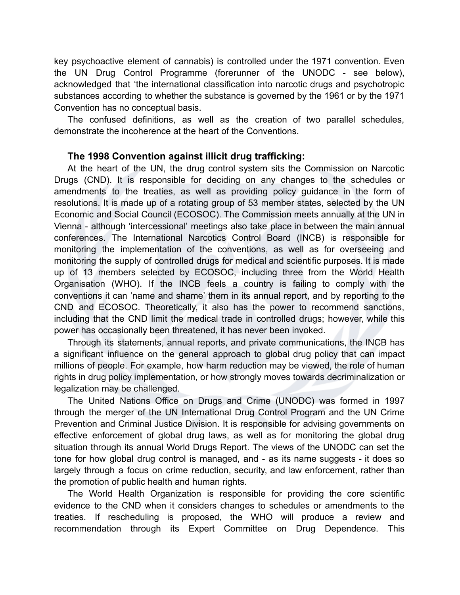key psychoactive element of cannabis) is controlled under the 1971 convention. Even the UN Drug Control Programme (forerunner of the UNODC - see below), acknowledged that 'the international classification into narcotic drugs and psychotropic substances according to whether the substance is governed by the 1961 or by the 1971 Convention has no conceptual basis.

The confused definitions, as well as the creation of two parallel schedules, demonstrate the incoherence at the heart of the Conventions.

## **The 1998 Convention against illicit drug trafficking:**

At the heart of the UN, the drug control system sits the Commission on Narcotic Drugs (CND). It is responsible for deciding on any changes to the schedules or amendments to the treaties, as well as providing policy guidance in the form of resolutions. It is made up of a rotating group of 53 member states, selected by the UN Economic and Social Council (ECOSOC). The Commission meets annually at the UN in Vienna - although 'intercessional' meetings also take place in between the main annual conferences. The International Narcotics Control Board (INCB) is responsible for monitoring the implementation of the conventions, as well as for overseeing and monitoring the supply of controlled drugs for medical and scientific purposes. It is made up of 13 members selected by ECOSOC, including three from the World Health Organisation (WHO). If the INCB feels a country is failing to comply with the conventions it can 'name and shame' them in its annual report, and by reporting to the CND and ECOSOC. Theoretically, it also has the power to recommend sanctions, including that the CND limit the medical trade in controlled drugs; however, while this power has occasionally been threatened, it has never been invoked.

Through its statements, annual reports, and private communications, the INCB has a significant influence on the general approach to global drug policy that can impact millions of people. For example, how harm reduction may be viewed, the role of human rights in drug policy implementation, or how strongly moves towards decriminalization or legalization may be challenged.

The United Nations Office on Drugs and Crime (UNODC) was formed in 1997 through the merger of the UN International Drug Control Program and the UN Crime Prevention and Criminal Justice Division. It is responsible for advising governments on effective enforcement of global drug laws, as well as for monitoring the global drug situation through its annual World Drugs Report. The views of the UNODC can set the tone for how global drug control is managed, and - as its name suggests - it does so largely through a focus on crime reduction, security, and law enforcement, rather than the promotion of public health and human rights.

The World Health Organization is responsible for providing the core scientific evidence to the CND when it considers changes to schedules or amendments to the treaties. If rescheduling is proposed, the WHO will produce a review and recommendation through its Expert Committee on Drug Dependence. This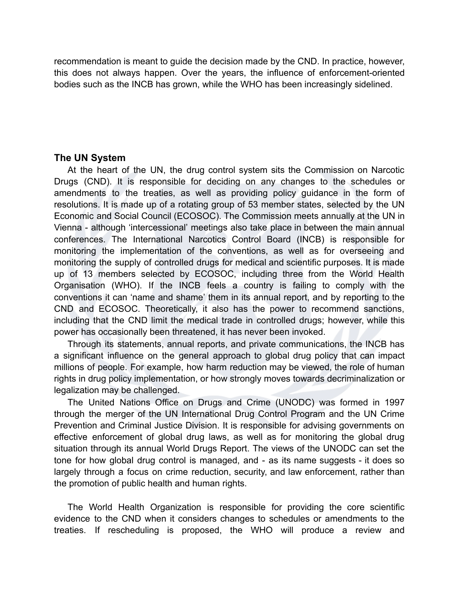recommendation is meant to guide the decision made by the CND. In practice, however, this does not always happen. Over the years, the influence of enforcement-oriented bodies such as the INCB has grown, while the WHO has been increasingly sidelined.

## **The UN System**

At the heart of the UN, the drug control system sits the Commission on Narcotic Drugs (CND). It is responsible for deciding on any changes to the schedules or amendments to the treaties, as well as providing policy guidance in the form of resolutions. It is made up of a rotating group of 53 member states, selected by the UN Economic and Social Council (ECOSOC). The Commission meets annually at the UN in Vienna - although 'intercessional' meetings also take place in between the main annual conferences. The International Narcotics Control Board (INCB) is responsible for monitoring the implementation of the conventions, as well as for overseeing and monitoring the supply of controlled drugs for medical and scientific purposes. It is made up of 13 members selected by ECOSOC, including three from the World Health Organisation (WHO). If the INCB feels a country is failing to comply with the conventions it can 'name and shame' them in its annual report, and by reporting to the CND and ECOSOC. Theoretically, it also has the power to recommend sanctions, including that the CND limit the medical trade in controlled drugs; however, while this power has occasionally been threatened, it has never been invoked.

Through its statements, annual reports, and private communications, the INCB has a significant influence on the general approach to global drug policy that can impact millions of people. For example, how harm reduction may be viewed, the role of human rights in drug policy implementation, or how strongly moves towards decriminalization or legalization may be challenged.

The United Nations Office on Drugs and Crime (UNODC) was formed in 1997 through the merger of the UN International Drug Control Program and the UN Crime Prevention and Criminal Justice Division. It is responsible for advising governments on effective enforcement of global drug laws, as well as for monitoring the global drug situation through its annual World Drugs Report. The views of the UNODC can set the tone for how global drug control is managed, and - as its name suggests - it does so largely through a focus on crime reduction, security, and law enforcement, rather than the promotion of public health and human rights.

The World Health Organization is responsible for providing the core scientific evidence to the CND when it considers changes to schedules or amendments to the treaties. If rescheduling is proposed, the WHO will produce a review and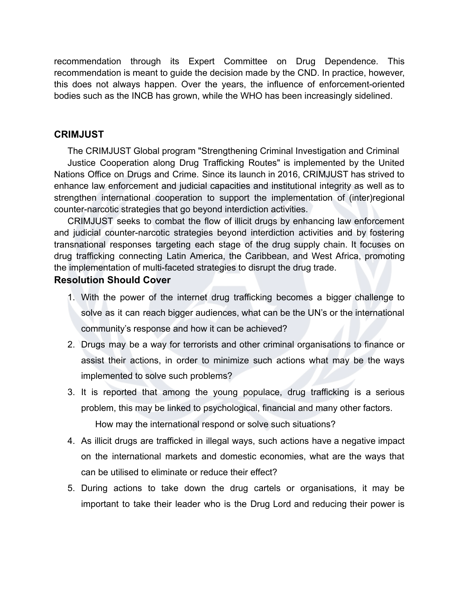recommendation through its Expert Committee on Drug Dependence. This recommendation is meant to guide the decision made by the CND. In practice, however, this does not always happen. Over the years, the influence of enforcement-oriented bodies such as the INCB has grown, while the WHO has been increasingly sidelined.

## **CRIMJUST**

The CRIMJUST Global program "Strengthening Criminal Investigation and Criminal Justice Cooperation along Drug Trafficking Routes" is implemented by the United Nations Office on Drugs and Crime. Since its launch in 2016, CRIMJUST has strived to enhance law enforcement and judicial capacities and institutional integrity as well as to strengthen international cooperation to support the implementation of (inter)regional counter-narcotic strategies that go beyond interdiction activities.

CRIMJUST seeks to combat the flow of illicit drugs by enhancing law enforcement and judicial counter-narcotic strategies beyond interdiction activities and by fostering transnational responses targeting each stage of the drug supply chain. It focuses on drug trafficking connecting Latin America, the Caribbean, and West Africa, promoting the implementation of multi-faceted strategies to disrupt the drug trade.

## **Resolution Should Cover**

- 1. With the power of the internet drug trafficking becomes a bigger challenge to solve as it can reach bigger audiences, what can be the UN's or the international community's response and how it can be achieved?
- 2. Drugs may be a way for terrorists and other criminal organisations to finance or assist their actions, in order to minimize such actions what may be the ways implemented to solve such problems?
- 3. It is reported that among the young populace, drug trafficking is a serious problem, this may be linked to psychological, financial and many other factors. How may the international respond or solve such situations?
- 4. As illicit drugs are trafficked in illegal ways, such actions have a negative impact on the international markets and domestic economies, what are the ways that can be utilised to eliminate or reduce their effect?
- 5. During actions to take down the drug cartels or organisations, it may be important to take their leader who is the Drug Lord and reducing their power is